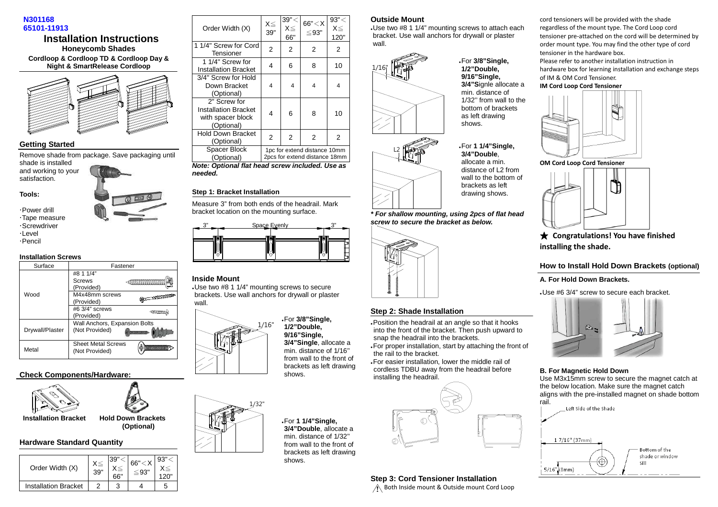



### **Getting Started**

Remove shade from package. Save packaging until shade is installed

 and working to your satisfaction.



 Power drill Tape measure

 Screwdriver  $\cdot$ I evel

Pencil

#### **Installation Screws**

| Surface         | Fastener                                        |                                   |  |
|-----------------|-------------------------------------------------|-----------------------------------|--|
| Wood            | #8 1 1/4"<br>Screws<br>(Provided)               |                                   |  |
|                 | M4x48mm screws<br>(Provided)                    | <del>್ಷಣ</del> ಯಿತ್ <sup>ಗು</sup> |  |
|                 | #6 3/4" screws<br>(Provided)                    | <b>MANITE</b>                     |  |
| Drywall/Plaster | Wall Anchors, Expansion Bolts<br>(Not Provided) |                                   |  |
| Metal           | <b>Sheet Metal Screws</b><br>(Not Provided)     |                                   |  |

# **Check Components/Hardware:**



 **Installation Bracket Hold Down Brackets** 

### **Hardware Standard Quantity**

| Order Width (X)             | 39" | - 30"<br>66" | 93" |
|-----------------------------|-----|--------------|-----|
| <b>Installation Bracket</b> |     | ີ            |     |

 **(Optional)** 

| Order Width (X)                                                                | X≦<br>39" | 39" <<br>$X \leq$<br>66" | 66'' < X<br>$\leq$ 93"                                        | 93" <<br>$X \leq$<br>120" |
|--------------------------------------------------------------------------------|-----------|--------------------------|---------------------------------------------------------------|---------------------------|
| 1 1/4" Screw for Cord<br>Tensioner                                             | 2         | 2                        | 2                                                             | 2                         |
| 1 1/4" Screw for<br><b>Installation Bracket</b>                                | 4         | 6                        | 8                                                             | 10                        |
| 3/4" Screw for Hold<br>Down Bracket<br>(Optional)                              | 4         | 4                        | 4                                                             | 4                         |
| 2" Screw for<br><b>Installation Bracket</b><br>with spacer block<br>(Optional) | 4         | 6                        | 8                                                             | 10                        |
| <b>Hold Down Bracket</b><br>(Optional)                                         | 2         | 2                        | 2                                                             | 2                         |
| Spacer Block<br>(Optional)                                                     |           |                          | 1pc for extend distance 10mm<br>2pcs for extend distance 18mm |                           |

 **Note: Optional flat head screw included. Use as needed.** 

### **Step 1: Bracket Installation**

Measure 3" from both ends of the headrail. Mark bracket location on the mounting surface.



#### **Inside Mount**

 - Use two #8 1 1/4" mounting screws to secure brackets. Use wall anchors for drywall or plaster wall.



 **3/4"Single**, allocate a min. distance of 1/16'' from wall to the front of brackets as left drawing shows.

> - For **1 1/4"Single, 3/4"Double**, allocate a min. distance of 1/32'' from wall to the front of brackets as left drawing shows.

- For **3/8"Single, 1/2"Double, 9/16"Single,** 

### **Outside Mount**

 - Use two #8 1 1/4" mounting screws to attach each bracket. Use wall anchors for drywall or plaster wall.

> - For **3/8"Single, 1/2"Double, 9/16"Single, 3/4"S**ignle allocate a min. distance of 1/32'' from wall to the bottom of brackets as left drawing shows.

- For **1 1/4"Single, 3/4"Double**, allocate a min. distance of L2 from wall to the bottom of brackets as left drawing shows.



L2

**\* For shallow mounting, using 2pcs of flat head screw to secure the bracket as below.** 



# **Step 2: Shade Installation**

- Position the headrail at an angle so that it hooks into the front of the bracket. Then push upward to snap the headrail into the brackets.

 - For proper installation, start by attaching the front of the rail to the bracket.

 - For easier installation, lower the middle rail of cordless TDBU away from the headrail before installing the headrail.



**Step 3: Cord Tensioner Installation** 

Both Inside mount & Outside mount Cord Loop

cord tensioners will be provided with the shade regardless of the mount type. The Cord Loop cord tensioner pre-attached on the cord will be determined by order mount type. You may find the other type of cord tensioner in the hardware box. Please refer to another installation instruction in hardware box for learning installation and exchange steps of IM & OM Cord Tensioner.

**IM Cord Loop Cord Tensioner** 



**OM Cord Loop Cord Tensioner**



★ **Congratulations! You have finished installing the shade.** 

### **How to Install Hold Down Brackets (optional)**

### **A. For Hold Down Brackets.**

- Use #6 3/4" screw to secure each bracket.



#### **B. For Magnetic Hold Down**

 Use M3x15mm screw to secure the magnet catch at the below location. Make sure the magnet catch aligns with the pre-installed magnet on shade bottom